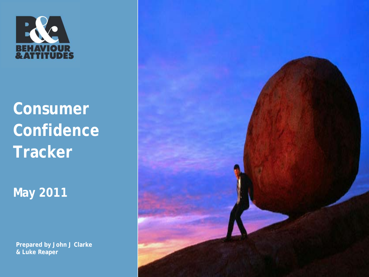

**Consumer Confidence Tracker**

**May 2011**

**Prepared by John J Clarke & Luke Reaper**

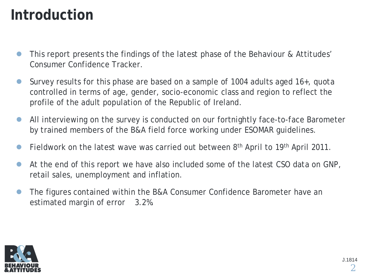### **Introduction**

- This report presents the findings of the latest phase of the Behaviour & Attitudes' Consumer Confidence Tracker.
- Survey results for this phase are based on a sample of 1004 adults aged 16+, quota controlled in terms of age, gender, socio-economic class and region to reflect the profile of the adult population of the Republic of Ireland.
- All interviewing on the survey is conducted on our fortnightly face-to-face Barometer by trained members of the B&A field force working under ESOMAR guidelines.
- Fieldwork on the latest wave was carried out between 8<sup>th</sup> April to 19<sup>th</sup> April 2011.
- At the end of this report we have also included some of the latest CSO data on GNP, retail sales, unemployment and inflation.
- The figures contained within the B&A Consumer Confidence Barometer have an estimated margin of error 3.2%.

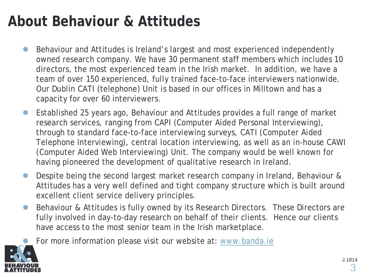### **About Behaviour & Attitudes**

- Behaviour and Attitudes is Ireland's largest and most experienced independently owned research company. We have 30 permanent staff members which includes 10 directors, the most experienced team in the Irish market. In addition, we have a team of over 150 experienced, fully trained face-to-face interviewers nationwide. Our Dublin CATI (telephone) Unit is based in our offices in Milltown and has a capacity for over 60 interviewers.
- Established 25 years ago, Behaviour and Attitudes provides a full range of market research services, ranging from CAPI (Computer Aided Personal Interviewing), through to standard face-to-face interviewing surveys, CATI (Computer Aided Telephone Interviewing), central location interviewing, as well as an in-house CAWI (Computer Aided Web Interviewing) Unit. The company would be well known for having pioneered the development of qualitative research in Ireland.
- Despite being the second largest market research company in Ireland, Behaviour & Attitudes has a very well defined and tight company structure which is built around excellent client service delivery principles.
- Behaviour & Attitudes is fully owned by its Research Directors. These Directors are fully involved in day-to-day research on behalf of their clients. Hence our clients have access to the most senior team in the Irish marketplace.
	- For more information please visit our website at: [www.banda.ie](http://www.banda.ie/)

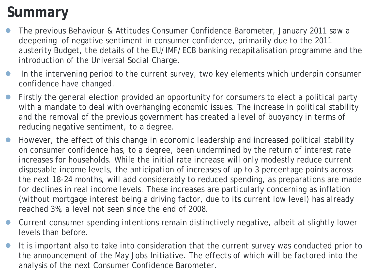### **Summary**

- The previous Behaviour & Attitudes Consumer Confidence Barometer, January 2011 saw a deepening of negative sentiment in consumer confidence, primarily due to the 2011 austerity Budget, the details of the EU/IMF/ECB banking recapitalisation programme and the introduction of the Universal Social Charge.
- In the intervening period to the current survey, two key elements which underpin consumer confidence have changed.
- Firstly the general election provided an opportunity for consumers to elect a political party with a mandate to deal with overhanging economic issues. The increase in political stability and the removal of the previous government has created a level of buoyancy in terms of reducing negative sentiment, to a degree.
- However, the effect of this change in economic leadership and increased political stability on consumer confidence has, to a degree, been undermined by the return of interest rate increases for households. While the initial rate increase will only modestly reduce current disposable income levels, the anticipation of increases of up to 3 percentage points across the next 18-24 months, will add considerably to reduced spending, as preparations are made for declines in real income levels. These increases are particularly concerning as inflation (without mortgage interest being a driving factor, due to its current low level) has already reached 3%, a level not seen since the end of 2008.
- Current consumer spending intentions remain distinctively negative, albeit at slightly lower levels than before.
- the announcement of the May Jobs Initiative. The effects of which will be factored into the It is important also to take into consideration that the current survey was conducted prior to analysis of the next Consumer Confidence Barometer.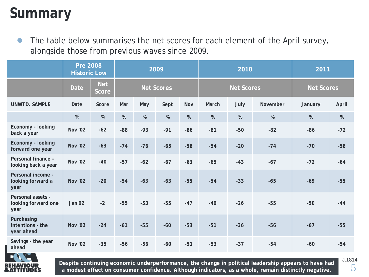### **Summary**

 The table below summarises the net scores for each element of the April survey, alongside those from previous waves since 2009.

|                                                  | <b>Pre 2008</b><br><b>Historic Low</b> |                            | 2009              |       |       |       |       | 2010              | 2011              |         |       |
|--------------------------------------------------|----------------------------------------|----------------------------|-------------------|-------|-------|-------|-------|-------------------|-------------------|---------|-------|
|                                                  | <b>Date</b>                            | <b>Net</b><br><b>Score</b> | <b>Net Scores</b> |       |       |       |       | <b>Net Scores</b> | <b>Net Scores</b> |         |       |
| <b>UNWTD. SAMPLE</b>                             | Date                                   | Score                      | Mar               | May   | Sept  | Nov   | March | July              | November          | January | April |
|                                                  | %                                      | %                          | %                 | %     | %     | %     | %     | %                 | %                 | %       | $\%$  |
| Economy - looking<br>back a year                 | <b>Nov '02</b>                         | $-62$                      | $-88$             | $-93$ | $-91$ | $-86$ | $-81$ | $-50$             | $-82$             | $-86$   | $-72$ |
| Economy - looking<br>forward one year            | <b>Nov '02</b>                         | $-63$                      | $-74$             | $-76$ | $-65$ | $-58$ | $-54$ | $-20$             | $-74$             | $-70$   | $-58$ |
| Personal finance -<br>looking back a year        | <b>Nov '02</b>                         | $-40$                      | $-57$             | $-62$ | $-67$ | $-63$ | $-65$ | $-43$             | $-67$             | $-72$   | $-64$ |
| Personal income -<br>looking forward a<br>year   | <b>Nov '02</b>                         | $-20$                      | $-54$             | $-63$ | $-63$ | $-55$ | $-54$ | $-33$             | $-65$             | $-69$   | $-55$ |
| Personal assets -<br>looking forward one<br>year | Jan'02                                 | $-2$                       | $-55$             | $-53$ | $-55$ | $-47$ | $-49$ | $-26$             | $-55$             | $-50$   | $-44$ |
| Purchasing<br>intentions - the<br>year ahead     | <b>Nov '02</b>                         | $-24$                      | $-61$             | $-55$ | $-60$ | $-53$ | $-51$ | $-36$             | $-56$             | $-67$   | $-55$ |
| Savings - the year<br>ahead                      | <b>Nov '02</b>                         | $-35$                      | $-56$             | $-56$ | $-60$ | $-51$ | $-53$ | $-37$             | $-54$             | $-60$   | $-54$ |



**Despite continuing economic underperformance, the change in political leadership appears to have had a modest effect on consumer confidence. Although indicators, as a whole, remain distinctly negative.**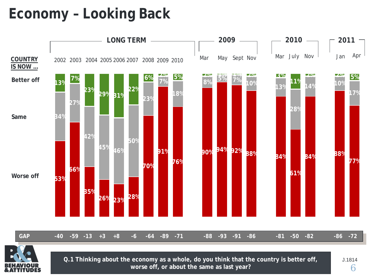### **Economy – Looking Back**





**Q.1 Thinking about the economy as a whole, do you think that the country is better off, J.1814 worse off, or about the same as last year?**

6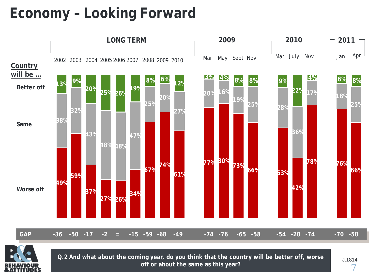### **Economy – Looking Forward**





**Q.2 And what about the coming year, do you think that the country will be better off, worse off or about the same as this year?**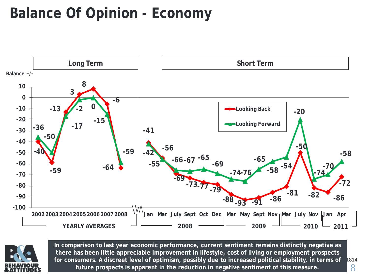### **Balance Of Opinion - Economy**





**In comparison to last year economic performance, current sentiment remains distinctly negative as there has been little appreciable improvement in lifestyle, cost of living or employment prospects for consumers. A discreet level of optimism, possibly due to increased political stability, in terms of future prospects is apparent in the reduction in negative sentiment of this measure.**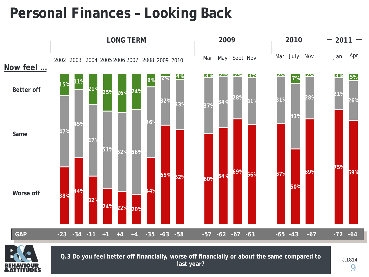### **Personal Finances – Looking Back**





Q.3 Do you feel better off financially, worse off financially or about the same compared to  $\overline{a}$  1.1814 **last year?**

9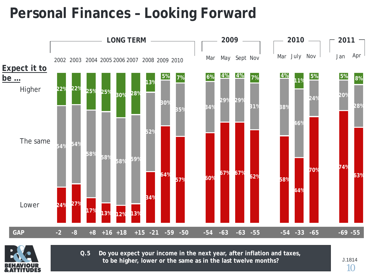### **Personal Finances – Looking Forward**





**Q.5 Do you expect your income in the next year, after inflation and taxes, to be higher, lower or the same as in the last twelve months?**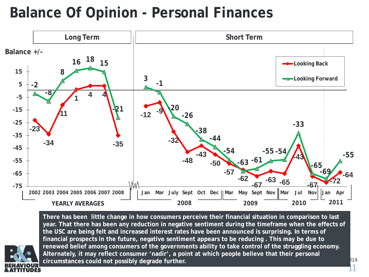### **Balance Of Opinion - Personal Finances**



**There has been little change in how consumers perceive their financial situation in comparison to last year. That there has been any reduction in negative sentiment during the timeframe when the effects of the USC are being felt and increased interest rates have been announced is surprising. In terms of financial prospects in the future, negative sentiment appears to be reducing . This may be due to renewed belief among consumers of the governments ability to take control of the struggling economy. Alternately, it may reflect consumer 'nadir', a point at which people believe that their personal circumstances could not possibly degrade further.**

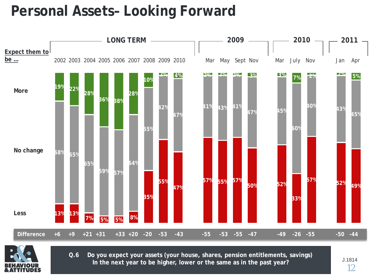### **Personal Assets– Looking Forward**





**Q.6 Do you expect your assets (your house, shares, pension entitlements, savings) In the next year to be higher, lower or the same as in the past year?**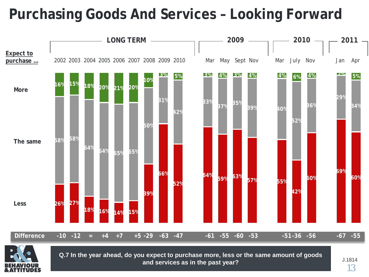### **Purchasing Goods And Services – Looking Forward**





Q.7 In the year ahead, do you expect to purchase more, less or the same amount of goods **SAME 1998 and services as in the past year?**

13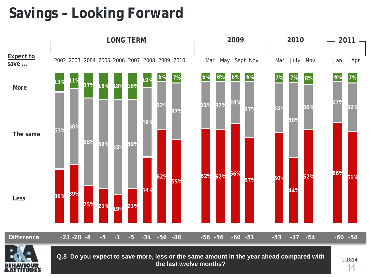### **Savings – Looking Forward**



**the last twelve months?**

14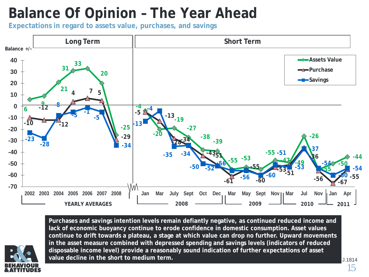### **Balance Of Opinion – The Year Ahead**

**Expectations in regard to assets value, purchases, and savings**



**Purchases and savings intention levels remain defiantly negative, as continued reduced income and lack of economic buoyancy continue to erode confidence in domestic consumption. Asset values continue to drift towards a plateau, a stage at which value can drop no further. Upward movements in the asset measure combined with depressed spending and savings levels (indicators of reduced disposable income level) provide a reasonably sound indication of further expectations of asset value decline in the short to medium term.**

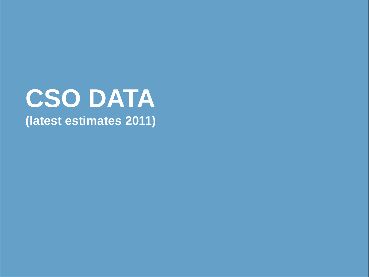# **CSO DATA (latest estimates 2011)**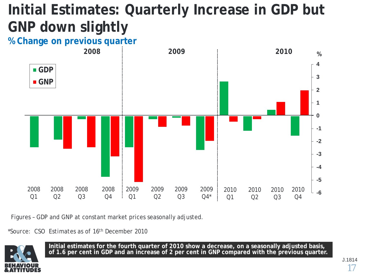## **Initial Estimates: Quarterly Increase in GDP but GNP down slightly**

### **% Change on previous quarter**



Figures – GDP and GNP at constant market prices seasonally adjusted.

*\*Source: CSO Estimates as of 16th December 2010*



**Initial estimates for the fourth quarter of 2010 show a decrease, on a seasonally adjusted basis, of 1.6 per cent in GDP and an increase of 2 per cent in GNP compared with the previous quarter.**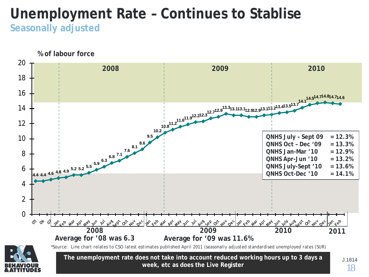### **Unemployment Rate – Continues to Stablise Seasonally adjusted**

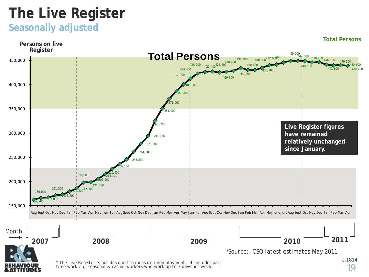### **The Live Register**

### **Seasonally adjusted**

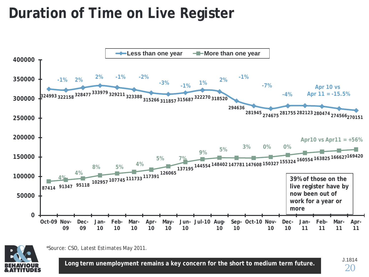### **Duration of Time on Live Register**





*<sup>\*</sup>Source: CSO, Latest Estimates May 2011.*

**Long term unemployment remains a key concern for the short to medium term future.**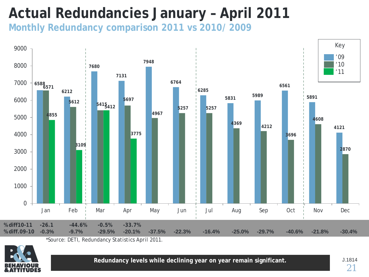### **Actual Redundancies January – April 2011**

**Monthly Redundancy comparison 2011 vs 2010/ 2009**



*<sup>\*</sup>Source: DETI, Redundancy Statistics April 2011.*



**Redundancy levels while declining year on year remain significant.**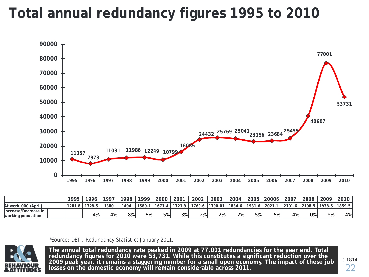### **Total annual redundancy figures 1995 to 2010**



|                                            | 1995   | 1996   | 1997 | 1998 | 1999 | 2000 | 2001         | 2002   | 2003    | 2004   | 2005       | 20006             | 2007   | 2008   | 2009 | 2010            |
|--------------------------------------------|--------|--------|------|------|------|------|--------------|--------|---------|--------|------------|-------------------|--------|--------|------|-----------------|
| At work '000 (April)                       | 1281.8 | 1328.5 | 1380 | 494  | 1589 | 1671 | 1721.<br>. 9 | 1760.6 | 1790.01 | 1834.6 | $1931.6$ , | $^{\prime}$ 2021. | 2101.6 | 2108.5 |      | 1938.5   1859.5 |
| Increase/Decrease in<br>working population |        | 4%     | 4%   | 8%   | 6%   | 5%   | 3%           | 2%     | 2%      | 2%     | 5%         | 5%                | 4%     | 0%     | -8%  | -4%             |

*\*Source: DETI, Redundancy Statistics January 2011.*



The annual total redundancy rate peaked in 2009 at 77,001 redundancies for the year end. Total **redundancy figures for 2010 were 53,731. While this constitutes a significant reduction over the 2009 peak year, it remains a staggering number for a small open economy. The impact of these job losses on the domestic economy will remain considerable across 2011.**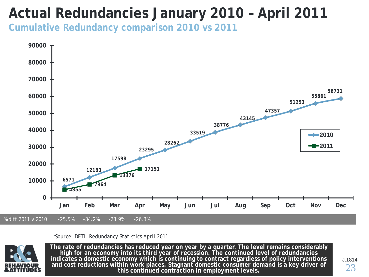### **Actual Redundancies January 2010 – April 2011**

**Cumulative Redundancy comparison 2010 vs 2011**



#### *\*Source: DETI, Redundancy Statistics April 2011.*



**The rate of redundancies has reduced year on year by a quarter. The level remains considerably high for an economy into its third year of recession. The continued level of redundancies indicates a domestic economy which is continuing to contract regardless of policy interventions and cost reductions within work places. Stagnant domestic consumer demand is a key driver of this continued contraction in employment levels.**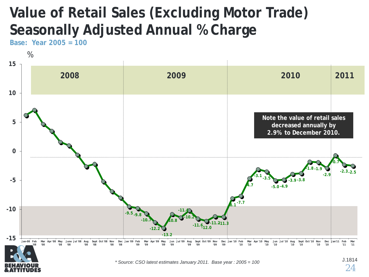### **Value of Retail Sales (Excluding Motor Trade) Seasonally Adjusted Annual % Charge**

**Base: Year 2005 = 100**



*\* Source: CSO latest estimates January 2011. Base year : 2005 = 100*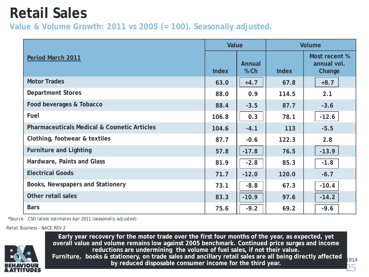### **Retail Sales**

**Value & Volume Growth: 2011 vs 2005 (= 100). Seasonally adjusted.**

|                                                        | Value        |                         | <b>Volume</b> |                                        |  |  |
|--------------------------------------------------------|--------------|-------------------------|---------------|----------------------------------------|--|--|
| Period March 2011                                      | <b>Index</b> | <b>Annual</b><br>$%$ Ch | <b>Index</b>  | Most recent %<br>annual vol.<br>Change |  |  |
| <b>Motor Trades</b>                                    | 63.0         | $+4.7$                  | 67.8          | $+8.7$                                 |  |  |
| <b>Department Stores</b>                               | 88.0         | 0.9                     | 114.5         | 2.1                                    |  |  |
| Food beverages & Tobacco                               | 88.4         | $-3.5$                  | 87.7          | $-3.6$                                 |  |  |
| Fuel                                                   | 106.8        | 0.3                     | 78.1          | $-12.6$                                |  |  |
| <b>Pharmaceuticals Medical &amp; Cosmetic Articles</b> | 104.6        | $-4.1$                  | 113           | $-5.5$                                 |  |  |
| Clothing, footwear & textiles                          | 87.7         | $-0.6$                  | 122.3         | 2.8                                    |  |  |
| <b>Furniture and Lighting</b>                          | 57.8         | $-17.8$                 | 76.5          | $-13.9$                                |  |  |
| Hardware, Paints and Glass                             | 81.9         | $-2.8$                  | 85.3          | $-1.8$                                 |  |  |
| <b>Electrical Goods</b>                                | 71.7         | $-12.0$                 | 120.0         | $-6.7$                                 |  |  |
| Books, Newspapers and Stationery                       | 73.1         | $-8.8$                  | 67.3          | $-10.4$                                |  |  |
| Other retail sales                                     | 83.3         | $-10.9$                 | 97.6          | $-14.2$                                |  |  |
| <b>Bars</b>                                            | 75.6         | $-9.2$                  | 69.2          | $-9.6$                                 |  |  |

*\*Source: CSO latest estimates Apr 2011 (seasonally adjusted).*

Retail Business – NACE REV 2



**Early year recovery for the motor trade over the first four months of the year, as expected, yet overall value and volume remains low against 2005 benchmark. Continued price surges and income reductions are undermining the volume of fuel sales, if not their value. Furniture, books & stationery, on trade sales and ancillary retail sales are all being directly affected by reduced disposable consumer income for the third year.**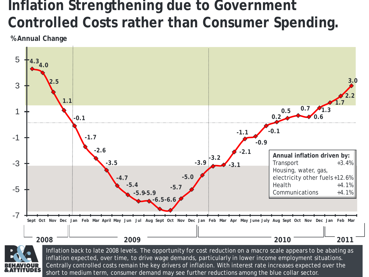### **Inflation Strengthening due to Government Controlled Costs rather than Consumer Spending.**

**% Annual Change**





inflation expected, over time, to drive wage demands, particularly in lower income employment situations. Inflation back to late 2008 levels. The opportunity for cost reduction on a macro scale appears to be abating as Centrally controlled costs remain the key drivers of inflation. With interest rate increases expected over the short to medium term, consumer demand may see further reductions among the blue collar sector.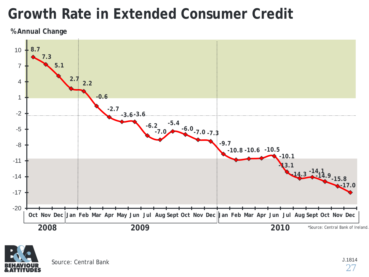### **Growth Rate in Extended Consumer Credit**

**% Annual Change**



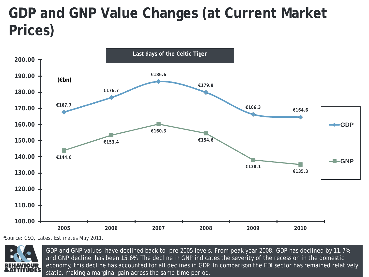### **GDP and GNP Value Changes (at Current Market Prices)**



*\*Source: CSO, Latest Estimates May 2011.*



nel:<br>' GDP and GNP values have declined back to pre 2005 levels. From peak year 2008, GDP has declined by 11.7% and GNP decline has been 15.6%. The decline in GNP indicates the severity of the recession in the domestic economy, this decline has accounted for all declines in GDP. In comparison the FDI sector has remained relatively static, making a marginal gain across the same time period.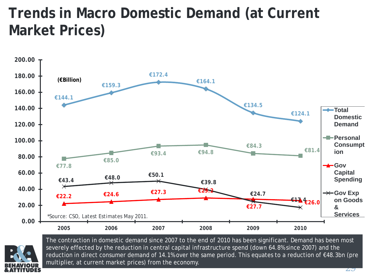### **Trends in Macro Domestic Demand (at Current Market Prices)**





The contraction in domestic demand since 2007 to the end of 2010 has been significant. Demand has been most severely effected by the reduction in central capital infrastructure spend (down 64.8% since 2007) and the reduction in direct consumer demand of 14.1% over the same period. This equates to a reduction of €48.3bn (pre multiplier, at current market prices) from the economy.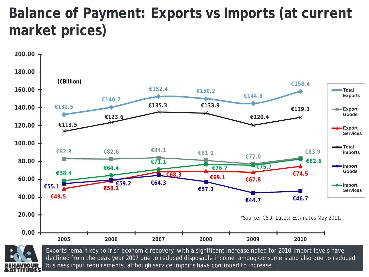### **Balance of Payment: Exports vs Imports (at current market prices)**





30 declined from the peak year 2007 due to reduced disposable income among consumers and also due to reduced Exports remain key to Irish economic recovery, with a significant increase noted for 2010.Import levels have business input requirements, although service imports have continued to increase .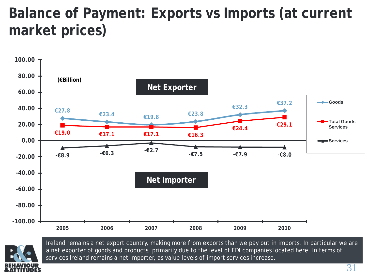### **Balance of Payment: Exports vs Imports (at current market prices)**





Ireland remains a net export country, making more from exports than we pay out in imports. In particular we are a net exporter of goods and products, primarily due to the level of FDI companies located here. In terms of services Ireland remains a net importer, as value levels of import services increase.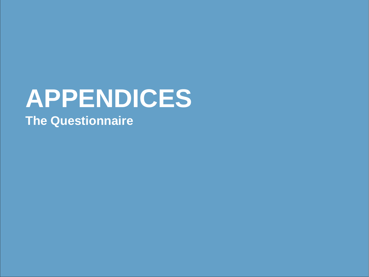# **APPENDICES The Questionnaire**